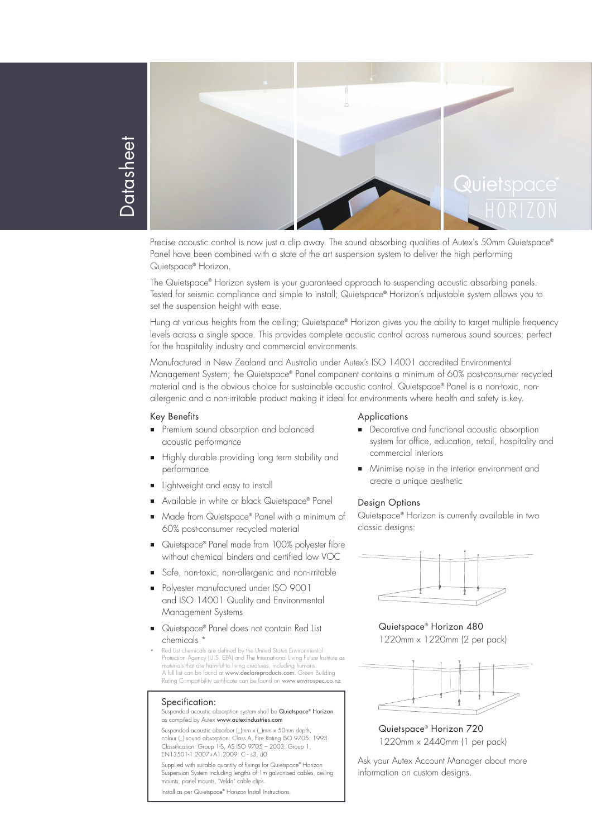

Datasheet **Contasheet** 

> Precise acoustic control is now just a clip away. The sound absorbing qualities of Autex's 50mm Quietspace® Panel have been combined with a state of the art suspension system to deliver the high performing Quietspace® Horizon.

The Quietspace® Horizon system is your guaranteed approach to suspending acoustic absorbing panels. Tested for seismic compliance and simple to install; Quietspace® Horizon's adjustable system allows you to set the suspension height with ease.

Hung at various heights from the ceiling; Quietspace® Horizon gives you the ability to target multiple frequency levels across a single space. This provides complete acoustic control across numerous sound sources; perfect for the hospitality industry and commercial environments.

Manufactured in New Zealand and Australia under Autex's ISO 14001 accredited Environmental Management System; the Quietspace® Panel component contains a minimum of 60% post-consumer recycled material and is the obvious choice for sustainable acoustic control. Quietspace® Panel is a non-toxic, nonallergenic and a non-irritable product making it ideal for environments where health and safety is key.

### Key Benefits

- **Premium sound absorption and balanced** acoustic performance
- Highly durable providing long term stability and performance
- **Lightweight and easy to install**
- Available in white or black Quietspace® Panel
- Made from Quietspace® Panel with a minimum of 60% post-consumer recycled material
- Quietspace® Panel made trom 100% polyester tibre without chemical binders and certified low VOC
- Safe, non-toxic, non-allergenic and non-irritable
- **Polyester manufactured under ISO 9001** and ISO 14001 Quality and Environmental Management Systems
- Quietspace® Panel does not contain Red List chemicals \*
- Red List chemicals are defined by the United States Environmental Protection Agency (U.S. EPA) and The International Living Future Institute as materials that are harmful to living creatures, including humans. A full list can be found at www.declareproducts.com. Green Building Rating Compatibility certificate can be found on www.envirospec.co.nz

#### Specification:

Suspended acoustic absorption system shall be Quietspace® Horizon as compiled by Autex www.autexindustries.com

Suspended acoustic absorber (\_)mm x (\_)mm x 50mm depth, colour (\_) sound absorption: Class A, Fire Rating ISO 9705: 1993 Classification: Group 1-S, AS ISO 9705 – 2003: Group 1, EN13501-1:2007+A1:2009: C - s3, d0

Supplied with suitable quantity of fixings for Quietspace® Horizon Suspension System including lengths of 1m galvanised cables, ceiling mounts, panel mounts, "Velda" cable clips.

Install as per Quietspace® Horizon Install Instructions.

### **Applications**

- **Decorative and functional acoustic absorption** system for office, education, retail, hospitality and commercial interiors
- **Minimise noise in the interior environment and** create a unique aesthetic

### Design Options

Quietspace® Horizon is currently available in two classic designs:



Quietspace® Horizon 480 1220mm x 1220mm (2 per pack)



Quietspace® Horizon 720 1220mm x 2440mm (1 per pack)

Ask your Autex Account Manager about more information on custom designs.